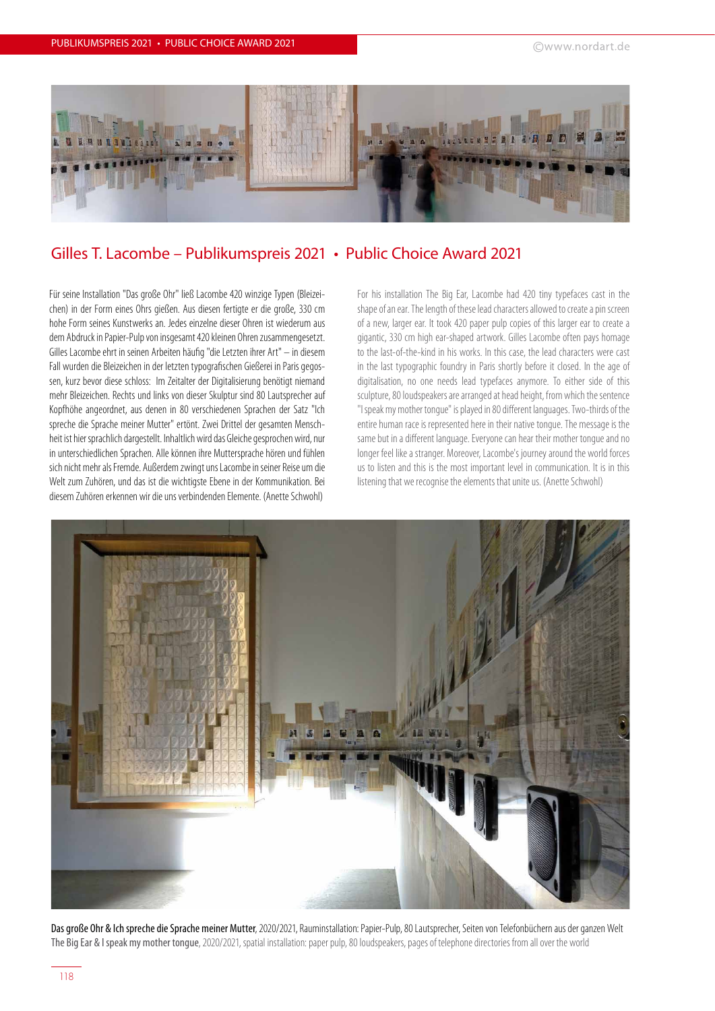

## Gilles T. Lacombe – Publikumspreis 2021 • Public Choice Award 2021

Für seine Installation "Das große Ohr" ließ Lacombe 420 winzige Typen (Bleizeichen) in der Form eines Ohrs gießen. Aus diesen fertigte er die große, 330 cm hohe Form seines Kunstwerks an. Jedes einzelne dieser Ohren ist wiederum aus dem Abdruck in Papier-Pulp von insgesamt 420 kleinen Ohren zusammengesetzt. Gilles Lacombe ehrt in seinen Arbeiten häufig "die Letzten ihrer Art" – in diesem Fall wurden die Bleizeichen in der letzten typografischen Gießerei in Paris gegossen, kurz bevor diese schloss: Im Zeitalter der Digitalisierung benötigt niemand mehr Bleizeichen. Rechts und links von dieser Skulptur sind 80 Lautsprecher auf Kopfhöhe angeordnet, aus denen in 80 verschiedenen Sprachen der Satz "Ich spreche die Sprache meiner Mutter" ertönt. Zwei Drittel der gesamten Menschheit ist hier sprachlich dargestellt. Inhaltlich wird das Gleiche gesprochen wird, nur in unterschiedlichen Sprachen. Alle können ihre Muttersprache hören und fühlen sich nicht mehr als Fremde. Außerdem zwingt uns Lacombe in seiner Reise um die Welt zum Zuhören, und das ist die wichtigste Ebene in der Kommunikation. Bei diesem Zuhören erkennen wir die uns verbindenden Elemente. (Anette Schwohl)

For his installation The Big Ear, Lacombe had 420 tiny typefaces cast in the shape of an ear. The length of these lead characters allowed to create a pin screen of a new, larger ear. It took 420 paper pulp copies of this larger ear to create a gigantic, 330 cm high ear-shaped artwork. Gilles Lacombe often pays homage to the last-of-the-kind in his works. In this case, the lead characters were cast in the last typographic foundry in Paris shortly before it closed. In the age of digitalisation, no one needs lead typefaces anymore. To either side of this sculpture, 80 loudspeakers are arranged at head height, from which the sentence "I speak my mother tongue" is played in 80 different languages. Two-thirds of the entire human race is represented here in their native tongue. The message is the same but in a different language. Everyone can hear their mother tongue and no longer feel like a stranger. Moreover, Lacombe's journey around the world forces us to listen and this is the most important level in communication. It is in this listening that we recognise the elements that unite us. (Anette Schwohl)



Das große Ohr & Ich spreche die Sprache meiner Mutter, 2020/2021, Rauminstallation: Papier-Pulp, 80 Lautsprecher, Seiten von Telefonbüchern aus der ganzen Welt The Big Ear & I speak my mother tongue, 2020/2021, spatial installation: paper pulp, 80 loudspeakers, pages of telephone directories from all over the world